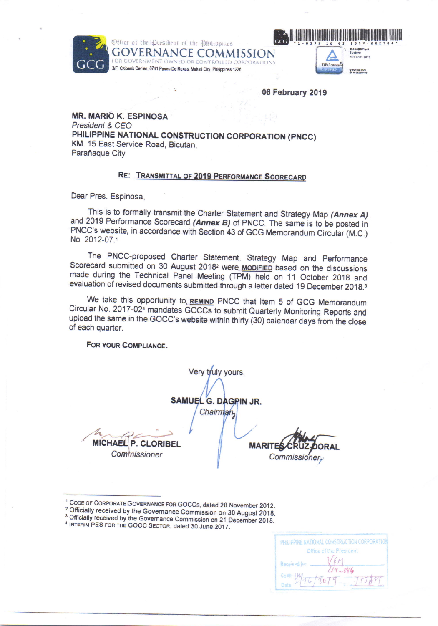Office of the President of the Philippines ERNANCE COMMISSION OWNED OR CONTROLLED CORPORATIONS 3/F, Citibank Center, 8741 Paseo De Roxas, Makati City, Philippines 1226



06 February 2019

**MR. MARIÓ K. ESPINOSA** President & CEO PHILIPPINE NATIONAL CONSTRUCTION CORPORATION (PNCC) KM. 15 East Service Road, Bicutan. Paraňaque City

#### RE: TRANSMITTAL OF 2019 PERFORMANCE SCORECARD

Dear Pres. Espinosa,

This is to formally transmit the Charter Statement and Strategy Map (Annex A) and 2019 Performance Scorecard (Annex B) of PNCC. The same is to be posted in PNCC's website, in accordance with Section 43 of GCG Memorandum Circular (M.C.) No. 2012-07.1

The PNCC-proposed Charter Statement, Strategy Map and Performance Scorecard submitted on 30 August 2018<sup>2</sup> were **MODIFIED** based on the discussions made during the Technical Panel Meeting (TPM) held on 11 October 2018 and evaluation of revised documents submitted through a letter dated 19 December 2018.<sup>3</sup>

We take this opportunity to REMIND PNCC that Item 5 of GCG Memorandum Circular No. 2017-02<sup>4</sup> mandates GOCCs to submit Quarterly Monitoring Reports and upload the same in the GOCC's website within thirty (30) calendar days from the close of each quarter.

Very truly yours,

FOR YOUR COMPLIANCE.

SAMUEL G. DAGPIN JR. Chairman MICHAEL P. CLORIBEL

**MARITE DRAL** 

Commissioner.

Commissioner

<sup>1</sup> CODE OF CORPORATE GOVERNANCE FOR GOCCs, dated 28 November 2012.

<sup>2</sup> Officially received by the Governance Commission on 30 August 2018.

<sup>3</sup> Officially received by the Governance Commission on 21 December 2018.

| PHILIPPINE NATIONAL CONSTRUCTION CORPORATION |
|----------------------------------------------|
| Office of the President                      |
| Received by                                  |
| $49 -046$                                    |
| Come INd.<br>2c79                            |
|                                              |

<sup>&</sup>lt;sup>4</sup> INTERIM PES FOR THE GOCC SECTOR, dated 30 June 2017.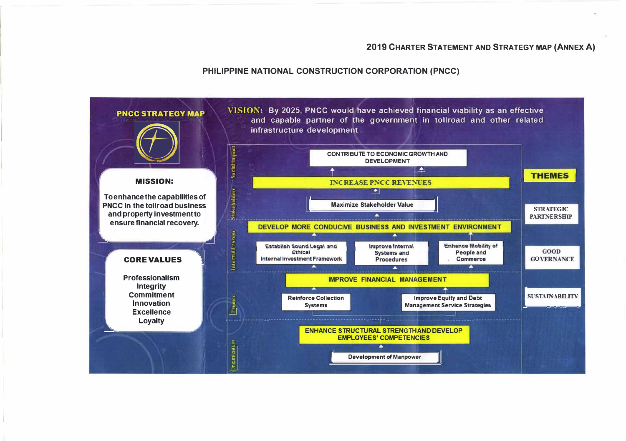#### PHILIPPINE NATIONAL CONSTRUCTION CORPORATION (PNCC)

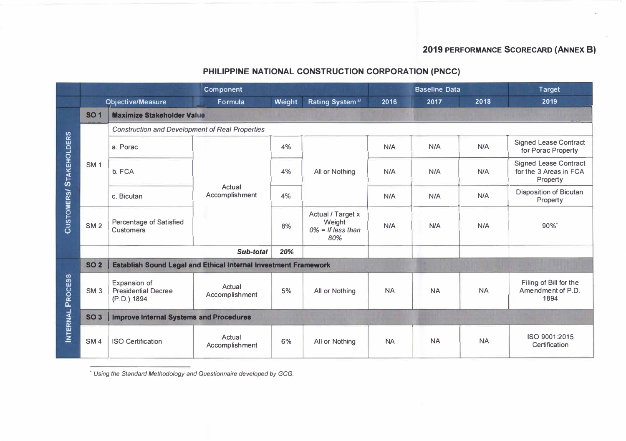# PHILIPPINE NATIONAL CONSTRUCTION CORPORATION (PNCC)

|                         | <b>Component</b> |                                                                 |                          |        |                                                            |           | <b>Baseline Data</b> |           | <b>Target</b>                                                      |  |  |
|-------------------------|------------------|-----------------------------------------------------------------|--------------------------|--------|------------------------------------------------------------|-----------|----------------------|-----------|--------------------------------------------------------------------|--|--|
|                         |                  | <b>Objective/Measure</b>                                        | Formula                  | Weight | Rating System <sup>a/</sup>                                | 2016      | 2017                 | 2018      | 2019                                                               |  |  |
| CUSTOMERS/STAKEHOLDERS  | <b>SO1</b>       | <b>Maximize Stakeholder Value</b>                               |                          |        |                                                            |           |                      |           |                                                                    |  |  |
|                         |                  | <b>Construction and Development of Real Properties</b>          |                          |        |                                                            |           |                      |           |                                                                    |  |  |
|                         |                  | a. Porac                                                        | Actual<br>Accomplishment | 4%     | All or Nothing                                             | N/A       | N/A                  | N/A       | <b>Signed Lease Contract</b><br>for Porac Property                 |  |  |
|                         | <b>SM1</b>       | b. FCA                                                          |                          | 4%     |                                                            | N/A       | N/A                  | N/A       | <b>Signed Lease Contract</b><br>for the 3 Areas in FCA<br>Property |  |  |
|                         |                  | c. Bicutan                                                      |                          | 4%     |                                                            | N/A       | N/A                  | N/A       | <b>Disposition of Bicutan</b><br>Property                          |  |  |
|                         | SM <sub>2</sub>  | <b>Percentage of Satisfied</b><br><b>Customers</b>              |                          | 8%     | Actual / Target x<br>Weight<br>$0\% =$ If less than<br>80% | N/A       | N/A                  | N/A       | $90\%$                                                             |  |  |
|                         |                  |                                                                 | Sub-total                | 20%    |                                                            |           |                      |           |                                                                    |  |  |
| <b>INTERNAL PROCESS</b> | <b>SO 2</b>      | Establish Sound Legal and Ethical Internal Investment Framework |                          |        |                                                            |           |                      |           |                                                                    |  |  |
|                         | SM <sub>3</sub>  | Expansion of<br><b>Presidential Decree</b><br>(P.D.) 1894       | Actual<br>Accomplishment | 5%     | All or Nothing                                             | <b>NA</b> | <b>NA</b>            | <b>NA</b> | Filing of Bill for the<br>Amendment of P.D.<br>1894                |  |  |
|                         | <b>SO 3</b>      | <b>Improve Internal Systems and Procedures</b>                  |                          |        |                                                            |           |                      |           |                                                                    |  |  |
|                         | SM <sub>4</sub>  | <b>ISO Certification</b>                                        | Actual<br>Accomplishment | 6%     | All or Nothing                                             | <b>NA</b> | <b>NA</b>            | <b>NA</b> | ISO 9001:2015<br>Certification                                     |  |  |

\* Using the Standard Methodology and Questionnaire developed by GCG.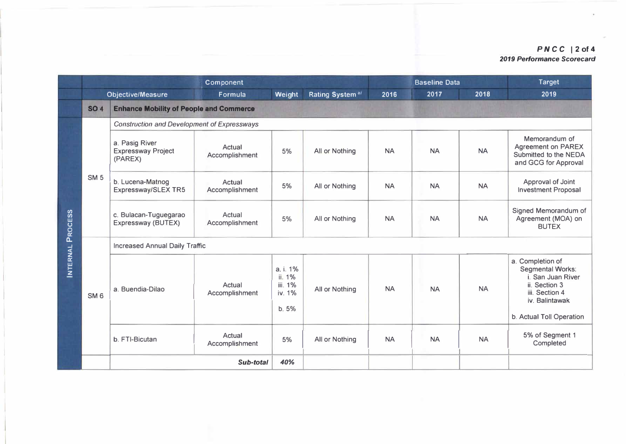### *PNC C* 12 **of 4** *2019 Performance Scorecard*

|                  | Component       |                                                        |                                 |                                                  |                             |           | <b>Baseline Data</b> |           | <b>Target</b>                                                                                                         |  |  |
|------------------|-----------------|--------------------------------------------------------|---------------------------------|--------------------------------------------------|-----------------------------|-----------|----------------------|-----------|-----------------------------------------------------------------------------------------------------------------------|--|--|
|                  |                 | <b>Objective/Measure</b>                               | Formula                         | Weight                                           | Rating System <sup>a/</sup> | 2016      | 2017                 | 2018      | 2019                                                                                                                  |  |  |
|                  | <b>SO 4</b>     | <b>Enhance Mobility of People and Commerce</b>         |                                 |                                                  |                             |           |                      |           |                                                                                                                       |  |  |
|                  |                 | <b>Construction and Development of Expressways</b>     |                                 |                                                  |                             |           |                      |           |                                                                                                                       |  |  |
|                  | <b>SM 5</b>     | a. Pasig River<br><b>Expressway Project</b><br>(PAREX) | Actual<br>Accomplishment        | 5%                                               | All or Nothing              | <b>NA</b> | <b>NA</b>            | <b>NA</b> | Memorandum of<br><b>Agreement on PAREX</b><br>Submitted to the NEDA<br>and GCG for Approval                           |  |  |
|                  |                 | b. Lucena-Matnog<br>Expressway/SLEX TR5                | Actual<br>Accomplishment        | 5%                                               | All or Nothing              | <b>NA</b> | <b>NA</b>            | <b>NA</b> | Approval of Joint<br><b>Investment Proposal</b>                                                                       |  |  |
|                  |                 | c. Bulacan-Tuguegarao<br>Expressway (BUTEX)            | Actual<br>Accomplishment        | 5%                                               | All or Nothing              | <b>NA</b> | <b>NA</b>            | <b>NA</b> | Signed Memorandum of<br>Agreement (MOA) on<br><b>BUTEX</b>                                                            |  |  |
|                  |                 | <b>Increased Annual Daily Traffic</b>                  |                                 |                                                  |                             |           |                      |           |                                                                                                                       |  |  |
| INTERNAL PROCESS | SM <sub>6</sub> | a. Buendia-Dilao                                       | Actual<br>Accomplishment        | a. i. 1%<br>ii. 1%<br>iii. 1%<br>iv. 1%<br>b. 5% | All or Nothing              | <b>NA</b> | <b>NA</b>            | <b>NA</b> | a. Completion of<br><b>Segmental Works:</b><br>i. San Juan River<br>ii. Section 3<br>iii. Section 4<br>iv. Balintawak |  |  |
|                  |                 |                                                        |                                 |                                                  |                             |           |                      |           | b. Actual Toll Operation                                                                                              |  |  |
|                  |                 | b. FTI-Bicutan                                         | <b>Actual</b><br>Accomplishment | 5%                                               | All or Nothing              | <b>NA</b> | <b>NA</b>            | <b>NA</b> | 5% of Segment 1<br>Completed                                                                                          |  |  |
|                  |                 |                                                        | Sub-total                       | 40%                                              |                             |           |                      |           |                                                                                                                       |  |  |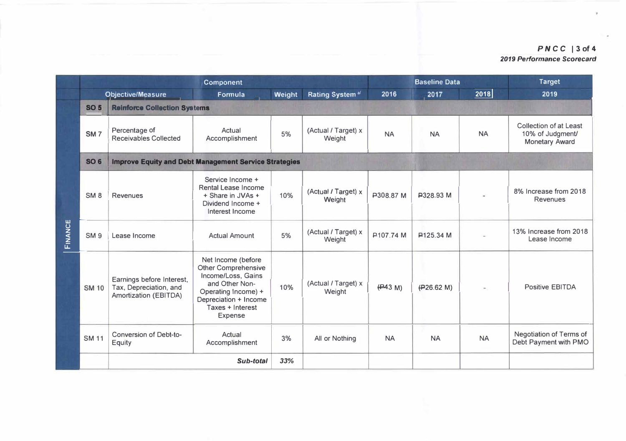### *PNCC I* **3of4** *2019 Performance Scorecard*

|         | <b>Component</b> |                                                                              |                                                                                                                                                                                |        |                               |           | <b>Baseline Data</b> |                          | <b>Target</b>                                                       |  |  |
|---------|------------------|------------------------------------------------------------------------------|--------------------------------------------------------------------------------------------------------------------------------------------------------------------------------|--------|-------------------------------|-----------|----------------------|--------------------------|---------------------------------------------------------------------|--|--|
|         |                  | <b>Objective/Measure</b>                                                     | <b>Formula</b>                                                                                                                                                                 | Weight | Rating System <sup>a/</sup>   | 2016      | 2017                 | 2018                     | 2019                                                                |  |  |
|         | <b>SO 5</b>      | <b>Reinforce Collection Systems</b>                                          |                                                                                                                                                                                |        |                               |           |                      |                          |                                                                     |  |  |
|         | SM <sub>7</sub>  | Percentage of<br><b>Receivables Collected</b>                                | Actual<br>Accomplishment                                                                                                                                                       | 5%     | (Actual / Target) x<br>Weight | <b>NA</b> | <b>NA</b>            | <b>NA</b>                | Collection of at Least<br>10% of Judgment/<br><b>Monetary Award</b> |  |  |
|         | <b>SO 6</b>      | <b>Improve Equity and Debt Management Service Strategies</b>                 |                                                                                                                                                                                |        |                               |           |                      |                          |                                                                     |  |  |
|         | SM <sub>8</sub>  | <b>Revenues</b>                                                              | Service Income +<br><b>Rental Lease Income</b><br>+ Share in JVAs +<br>Dividend Income +<br>Interest Income                                                                    | 10%    | (Actual / Target) x<br>Weight | P308.87 M | P328.93 M            |                          | 8% Increase from 2018<br><b>Revenues</b>                            |  |  |
| FINANCE | SM <sub>9</sub>  | Lease Income                                                                 | <b>Actual Amount</b>                                                                                                                                                           | 5%     | (Actual / Target) x<br>Weight | ₽107.74 M | <b>₽125.34 M</b>     |                          | 13% Increase from 2018<br>Lease Income                              |  |  |
|         | <b>SM 10</b>     | Earnings before Interest,<br>Tax, Depreciation, and<br>Amortization (EBITDA) | Net Income (before<br><b>Other Comprehensive</b><br>Income/Loss, Gains<br>and Other Non-<br>Operating Income) +<br>Depreciation + Income<br>Taxes + Interest<br><b>Expense</b> | 10%    | (Actual / Target) x<br>Weight | (H43 M)   | (H26.62 M)           | $\overline{\phantom{a}}$ | <b>Positive EBITDA</b>                                              |  |  |
|         | <b>SM 11</b>     | <b>Conversion of Debt-to-</b><br><b>Equity</b>                               | Actual<br>Accomplishment                                                                                                                                                       | 3%     | All or Nothing                | <b>NA</b> | <b>NA</b>            | <b>NA</b>                | Negotiation of Terms of<br>Debt Payment with PMO                    |  |  |
|         |                  |                                                                              | Sub-total                                                                                                                                                                      | 33%    |                               |           |                      |                          |                                                                     |  |  |